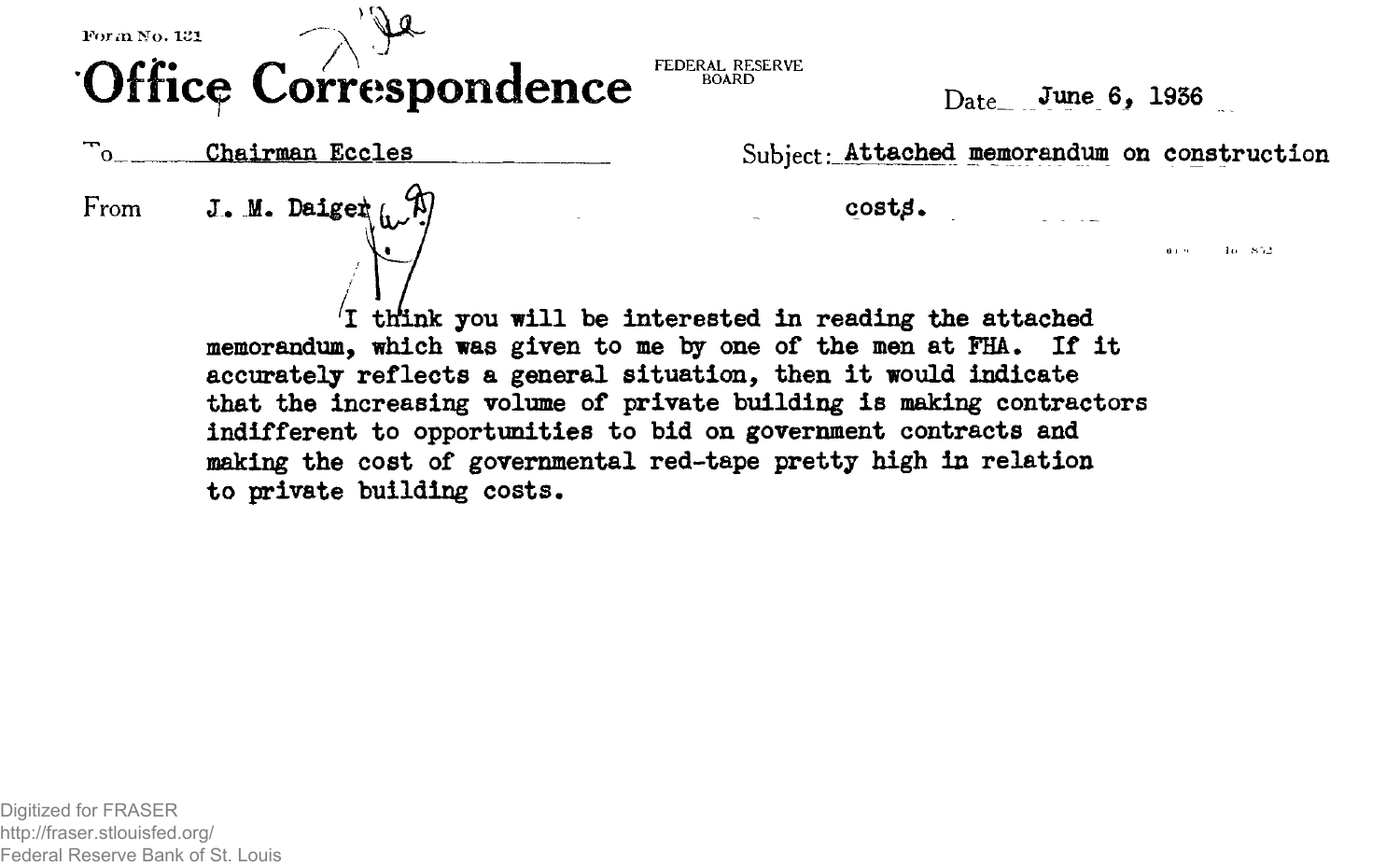## **Office Correspondence**

 $D_{\text{ate}}$  June 6, 1936

᠇᠇ Chairman Eccles  $\Omega$ 



Subject: Attached memorandum on construction

 $cost\beta$ .

 $10 - 852$ a con-

I think you will be interested in reading the attached memorandum, which was given to me by one of the men at FHA. If it accurately reflects a general situation, then it would indicate that the increasing volume of private building is making contractors indifferent to opportunities to bid on government contracts and making the cost of governmental red-tape pretty high in relation to private building costs.

FEDERAL RESERVE<br>BOARD

Digitized for FRASER http://fraser.stlouisfed.org/ Federal Reserve Bank of St. Louis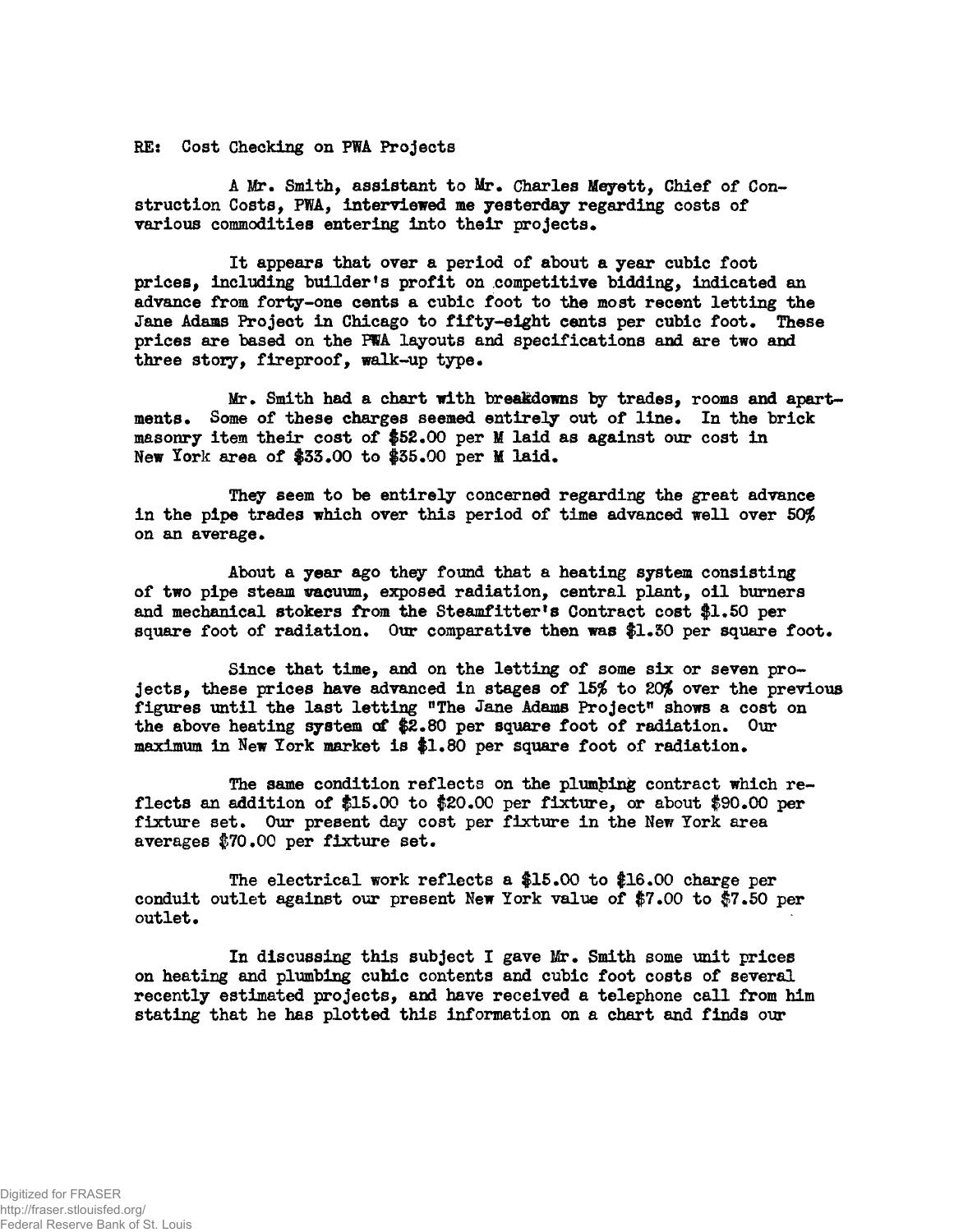**RE: Cost Checking on PWA Projects**

A Mr. Smith, assistant to Mr. Charles Meyett, Chief of Con**struction Costs, PWA, interviewed me yesterday regarding costs of** various commodities entering into their projects.

**It appears that over a period of about a year cubic foot prices, including builder's profit on competitive bidding, indicated an advance from forty-one cents a cubic foot to the most recent letting the Jane Adams Project in Chicago to fifty-eight cents per cubic foot. These prices are based on the PWA layouts and specifications and are two and three story, fireproof, walk-up type.**

**Mr. Smith had a chart with breakdowns by trades, rooms and apartments. Some of these charges seemed entirely out of line. In the brick masonry item their cost of \$52.00 per M laid as against our cost in New York area of \$35.00 to \$35.00 per M laid.**

**They seem to be entirely concerned regarding the great advance in the pipe trades which over this period of time advanced well over 5O\$6 on an average.**

**About a year ago they found that a heating system consisting** of two pipe steam wacuum, exposed radiation, central plant, oil burners **and mechanical stokers ftom the Steamfitter<sup>f</sup>s Contract cost \$1.50 per** square foot of radiation. Our comparative then was \$1.30 per square foot.

**Since that time, and on the letting of some six or seven projects, these prices have advanced in stages of 15% to 20% over the previous** figures until the last letting "The Jane Adams Project" shows a cost on **the above heating system of \$2.80 per square foot of radiation. Our maximum in New lork market is \$1.80 per square foot of radiation.**

**The same condition reflects on the plumbing contract which reflects an addition of \$15.00 to \$20.00 per fixture, or about \$90.00 per fixture set. Our present day cost per fixture in the New York area averages |70.00 per fixture set.**

**The electrical work reflects a \$15.00 to \$16.00 charge per conduit outlet against our present New York value of \$7.00 to \$7.50 per outlet.**

**In discussing this subject I gave Mr. Smith some unit prices on heating and plumbing cubic contents and cubic foot costs of several recently estimated projects, and have received a telephone call from him stating that he has plotted this information on a chart and finds our**